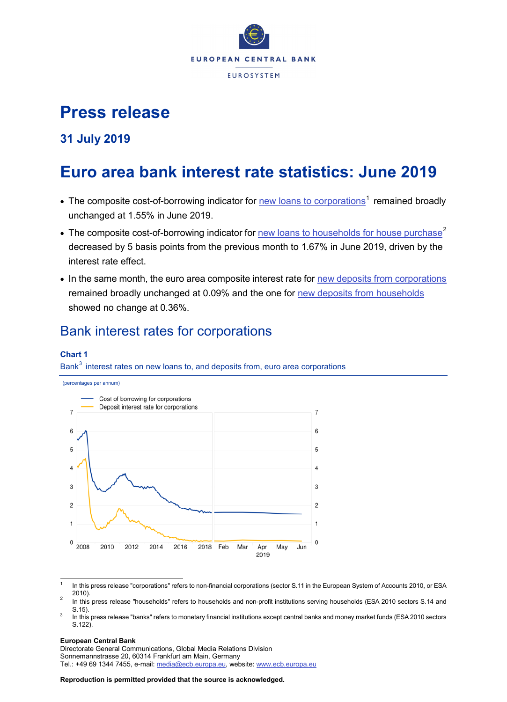

# **Press release**

### **31 July 2019**

# **Euro area bank interest rate statistics: June 2019**

- The composite cost-of-borrowing indicator for [new loans to corporations](http://sdw.ecb.europa.eu/quickview.do?SERIES_KEY=124.MIR.M.U2.B.A2I.AM.R.A.2240.EUR.N)<sup>[1](#page-0-0)</sup> remained broadly unchanged at 1.55% in June 2019.
- The composite cost-of-borrowing indicator for [new loans to households for house purchase](http://sdw.ecb.europa.eu/quickview.do?SERIES_KEY=124.MIR.M.U2.B.A2C.AM.R.A.2250.EUR.N)<sup>[2](#page-0-1)</sup> decreased by 5 basis points from the previous month to 1.67% in June 2019, driven by the interest rate effect.
- In the same month, the euro area composite interest rate for [new deposits from corporations](http://sdw.ecb.europa.eu/quickview.do?SERIES_KEY=124.MIR.M.U2.B.L22.A.R.A.2240.EUR.N) remained broadly unchanged at 0.09% and the one for [new deposits from households](http://sdw.ecb.europa.eu/quickview.do?SERIES_KEY=124.MIR.M.U2.B.L22.A.R.A.2250.EUR.N) showed no change at 0.36%.

## Bank interest rates for corporations

### **Chart 1**

Bank<sup>[3](#page-0-2)</sup> interest rates on new loans to, and deposits from, euro area corporations



<span id="page-0-0"></span>In this press release "corporations" refers to non-financial corporations (sector S.11 in the European System of Accounts 2010, or ESA 2010). <sup>2</sup> In this press release "households" refers to households and non-profit institutions serving households (ESA 2010 sectors S.14 and

#### **European Central Bank**

Directorate General Communications, Global Media Relations Division Sonnemannstrasse 20, 60314 Frankfurt am Main, Germany Tel.: +49 69 1344 7455, e-mail: [media@ecb.europa.eu,](mailto:media@ecb.europa.eu) website: [www.ecb.europa.eu](http://www.ecb.europa.eu/)

<span id="page-0-1"></span>S.15). <sup>3</sup> In this press release "banks" refers to monetary financial institutions except central banks and money market funds (ESA 2010 sectors

<span id="page-0-2"></span>S.122).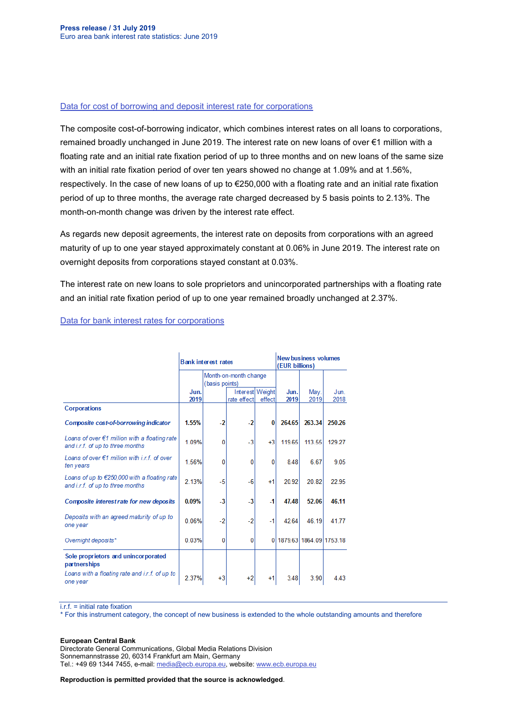#### [Data for cost of borrowing and deposit interest rate for corporations](http://sdw.ecb.europa.eu/browseSelection.do?type=series&q=MIR.M.U2.B.L22.A.R.A.2240.EUR.N+MIR.M.U2.B.A2I.AM.R.A.2240.EUR.N&node=SEARCHRESULTS)

The composite cost-of-borrowing indicator, which combines interest rates on all loans to corporations, remained broadly unchanged in June 2019. The interest rate on new loans of over €1 million with a floating rate and an initial rate fixation period of up to three months and on new loans of the same size with an initial rate fixation period of over ten years showed no change at 1.09% and at 1.56%, respectively. In the case of new loans of up to €250,000 with a floating rate and an initial rate fixation period of up to three months, the average rate charged decreased by 5 basis points to 2.13%. The month-on-month change was driven by the interest rate effect.

As regards new deposit agreements, the interest rate on deposits from corporations with an agreed maturity of up to one year stayed approximately constant at 0.06% in June 2019. The interest rate on overnight deposits from corporations stayed constant at 0.03%.

The interest rate on new loans to sole proprietors and unincorporated partnerships with a floating rate and an initial rate fixation period of up to one year remained broadly unchanged at 2.37%.

|                                                                                           | <b>Bank interest rates</b> |                                         |                                |           | <b>New business volumes</b><br>(EUR billions) |                         |              |
|-------------------------------------------------------------------------------------------|----------------------------|-----------------------------------------|--------------------------------|-----------|-----------------------------------------------|-------------------------|--------------|
|                                                                                           |                            | Month-on-month change<br>(basis points) |                                |           |                                               |                         |              |
|                                                                                           | Jun.<br>2019               |                                         | Interest Weight<br>rate effect | effect    | Jun.<br>2019                                  | May.<br>2019            | Jun.<br>2018 |
| Corporations                                                                              |                            |                                         |                                |           |                                               |                         |              |
| Composite cost-of-borrowing indicator                                                     | 1.55%                      | $-2$                                    | $-2$                           | 0         | 264.65                                        | 263.34                  | 250.26       |
| Loans of over $\notin 1$ million with a floating rate<br>and i.r.f. of up to three months | 1.09%                      | 0                                       | $-3$                           | $+3$      | 119.65                                        | 113.55                  | 129.27       |
| Loans of over $f$ 1 million with $if$ of over<br>ten years                                | 1.56%                      | 0                                       | 0                              | 0         | 848                                           | 6.67                    | 9.05         |
| Loans of up to €250,000 with a floating rate<br>and i.r.f. of up to three months          | 2.13%                      | -5                                      | $-6$                           | $+1$      | 20.92                                         | 20.82                   | 22.95        |
| Composite interest rate for new deposits                                                  | 0.09%                      | $-3$                                    | $\mathbf{-3}$                  | $\cdot$ 1 | 47.48                                         | 52.06                   | 46.11        |
| Deposits with an agreed maturity of up to<br>one year                                     | 0.06%                      | $-2$                                    | $-2$                           | $-1$      | 42.64                                         | 46.19                   | 41.77        |
| Overnight deposits*                                                                       | 0.03%                      | 0                                       | 0                              | 01        |                                               | 1879.63 1864.09 1753.18 |              |
| Sole proprietors and unincorporated<br>partnerships                                       |                            |                                         |                                |           |                                               |                         |              |
| Loans with a floating rate and i.r.f. of up to<br>one year                                | 2.37%                      | $+3$                                    | $+2$                           | $+1$      | 3.48                                          | 3.90                    | 4.43         |

### [Data for bank interest rates for corporations](http://sdw.ecb.europa.eu/browseSelection.do?type=series&q=MIR.M.U2.B.A2I.AM.R.A.2240.EUR.N+MIR.M.U2.B.A2A.D.R.1.2240.EUR.N+MIR.M.U2.B.A2A.P.R.1.2240.EUR.N++MIR.M.U2.B.A2A.D.R.2.2240.EUR.N++MIR.M.U2.B.L22.F.R.A.2240.EUR.N++MIR.M.U2.B.A2D.F.R.A.2253.EUR.N&node=SEARCHRESULTS&ec=&oc=&rc=&cv=&pb=&dc=&df=)

i.r.f. = initial rate fixation

\* For this instrument category, the concept of new business is extended to the whole outstanding amounts and therefore

#### **European Central Bank**

Directorate General Communications, Global Media Relations Division Sonnemannstrasse 20, 60314 Frankfurt am Main, Germany Tel.: +49 69 1344 7455, e-mail: [media@ecb.europa.eu,](mailto:media@ecb.europa.eu) website: [www.ecb.europa.eu](http://www.ecb.europa.eu/)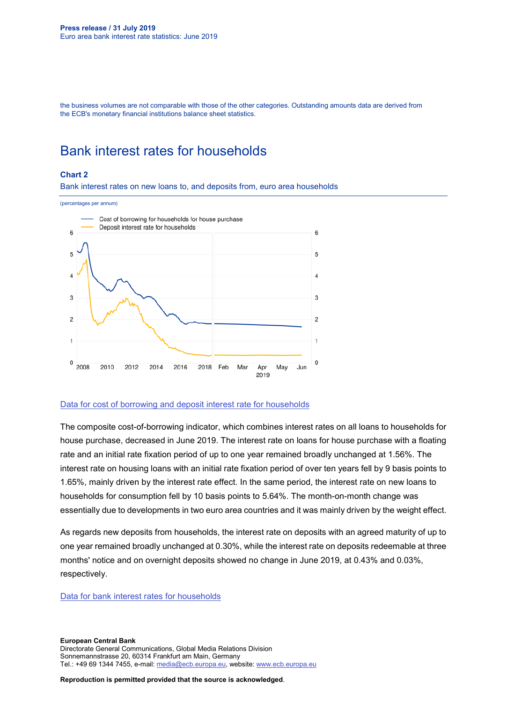the business volumes are not comparable with those of the other categories. Outstanding amounts data are derived from the ECB's monetary financial institutions balance sheet statistics.

## Bank interest rates for households

#### **Chart 2**

Bank interest rates on new loans to, and deposits from, euro area households

#### (percentages per annum) Cost of borrowing for households for house purchase Deposit interest rate for households  $\mathbf{6}$ 6 5 5  $\overline{A}$  $\Delta$ 3 3  $\overline{c}$  $\overline{c}$  $\overline{1}$ 1 0  $\pmb{0}$ 2008 2010 2012 2014 2016 2018 Feb Mar Apr May Jun 2019

#### [Data for cost of borrowing and deposit interest rate for households](http://sdw.ecb.europa.eu/browseSelection.do?type=series&q=MIR.M.U2.B.L22.A.R.A.2250.EUR.N+MIR.M.U2.B.A2C.AM.R.A.2250.EUR.N&node=SEARCHRESULTS)

The composite cost-of-borrowing indicator, which combines interest rates on all loans to households for house purchase, decreased in June 2019. The interest rate on loans for house purchase with a floating rate and an initial rate fixation period of up to one year remained broadly unchanged at 1.56%. The interest rate on housing loans with an initial rate fixation period of over ten years fell by 9 basis points to 1.65%, mainly driven by the interest rate effect. In the same period, the interest rate on new loans to households for consumption fell by 10 basis points to 5.64%. The month-on-month change was essentially due to developments in two euro area countries and it was mainly driven by the weight effect.

As regards new deposits from households, the interest rate on deposits with an agreed maturity of up to one year remained broadly unchanged at 0.30%, while the interest rate on deposits redeemable at three months' notice and on overnight deposits showed no change in June 2019, at 0.43% and 0.03%, respectively.

#### [Data for bank interest rates for households](http://sdw.ecb.europa.eu/browseSelection.do?type=series&q=MIR.M.U2.B.A2C.AM.R.A.2250.EUR.N%2cMIR.M.U2.B.A2C.F.R.A.2250.EUR.N%2cMIR.M.U2.B.A2C.P.R.A.2250.EUR.N%2cMIR.M.U2.B.A2B.F.R.A.2250.EUR.N%2cMIR.M.U2.B.L22.F.R.A.2250.EUR.N%2cMIR.M.U2.B.L23.D.R.A.2250.EUR.N&node=SEARCHRESULTS&ec=&oc=&rc=&cv=&pb=&dc=&df=)

**European Central Bank** Directorate General Communications, Global Media Relations Division Sonnemannstrasse 20, 60314 Frankfurt am Main, Germany Tel.: +49 69 1344 7455, e-mail: [media@ecb.europa.eu,](mailto:media@ecb.europa.eu) website: [www.ecb.europa.eu](http://www.ecb.europa.eu/)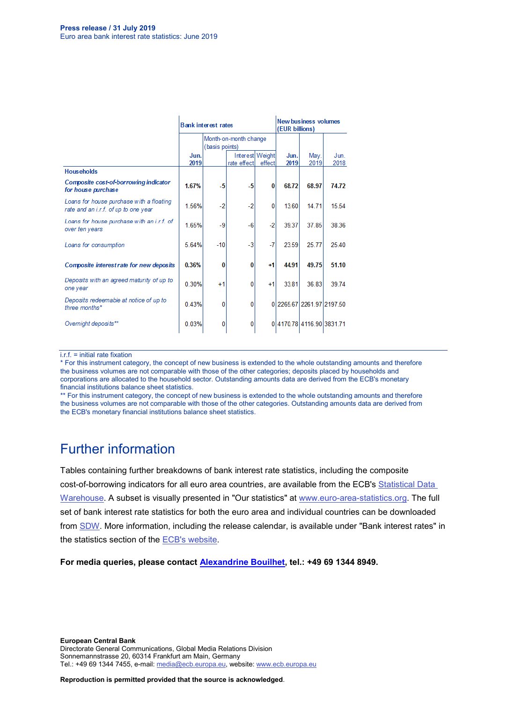|                                                                                  | <b>Bank interest rates</b> |                                         |                                |          | New business volumes<br>(EUR billions) |                           |              |
|----------------------------------------------------------------------------------|----------------------------|-----------------------------------------|--------------------------------|----------|----------------------------------------|---------------------------|--------------|
|                                                                                  |                            | Month-on-month change<br>(basis points) |                                |          |                                        |                           |              |
|                                                                                  | Jun.<br>2019               |                                         | Interest Weight<br>rate effect | effect   | Jun.<br>2019                           | May.<br>2019              | Jun.<br>2018 |
| <b>Households</b>                                                                |                            |                                         |                                |          |                                        |                           |              |
| Composite cost-of-borrowing indicator<br>for house purchase                      | 1.67%                      | $-5$                                    | $-5$                           | $\bf{0}$ | 68.72                                  | 68.97                     | 74.72        |
| Loans for house purchase with a floating<br>rate and an i.r.f. of up to one year | 1.56%                      | $-2$                                    | $-2$                           | $\bf{0}$ | 13.60                                  | 14.71                     | 15.54        |
| Loans for house purchase with an i.r.f. of<br>over ten years                     | 1.65%                      | $-9$                                    | $-6$                           | $-2$     | 39.37                                  | 37.85                     | 38.36        |
| Loans for consumption                                                            | 5.64%                      | $-10$                                   | $-3$                           | $-7$     | 23.59                                  | 25.77                     | 25.40        |
| Composite interest rate for new deposits                                         | 0.36%                      | $\bf{0}$                                | 0                              | +1       | 44.91                                  | 49.75                     | 51.10        |
| Deposits with an agreed maturity of up to<br>one year                            | 0.30%                      | $+1$                                    | 0                              | $+1$     | 33.81                                  | 36.83                     | 39.74        |
| Deposits redeemable at notice of up to<br>three months*                          | 0.43%                      | 0                                       | 0                              |          |                                        | 0 2265.67 2261.97 2197.50 |              |
| Overnight deposits**                                                             | 0.03%                      | 0                                       | $\Omega$                       |          |                                        | 0 4170.78 4116.90 3831.71 |              |

#### i.r.f. = initial rate fixation

\* For this instrument category, the concept of new business is extended to the whole outstanding amounts and therefore the business volumes are not comparable with those of the other categories; deposits placed by households and corporations are allocated to the household sector. Outstanding amounts data are derived from the ECB's monetary financial institutions balance sheet statistics.

\*\* For this instrument category, the concept of new business is extended to the whole outstanding amounts and therefore the business volumes are not comparable with those of the other categories. Outstanding amounts data are derived from the ECB's monetary financial institutions balance sheet statistics.

### Further information

Tables containing further breakdowns of bank interest rate statistics, including the composite cost-of-borrowing indicators for all euro area countries, are available from the ECB's [Statistical Data](http://sdw.ecb.europa.eu/reports.do?node=1000002880)  [Warehouse.](http://sdw.ecb.europa.eu/reports.do?node=1000002880) A subset is visually presented in "Our statistics" at [www.euro-area-statistics.org.](http://www.euro-area-statistics.org/) The full set of bank interest rate statistics for both the euro area and individual countries can be downloaded from [SDW.](http://sdw.ecb.europa.eu/browse.do?node=9691123) More information, including the release calendar, is available under "Bank interest rates" in the statistics section of the [ECB's website.](http://www.ecb.europa.eu/stats/financial_markets_and_interest_rates/bank_interest_rates/mfi_interest_rates/html/index.en.html)

**For media queries, please contact [Alexandrine Bouilhet,](mailto:Alexandrine.Bouilhet@ecb.europa.eu) tel.: +49 69 1344 8949.**